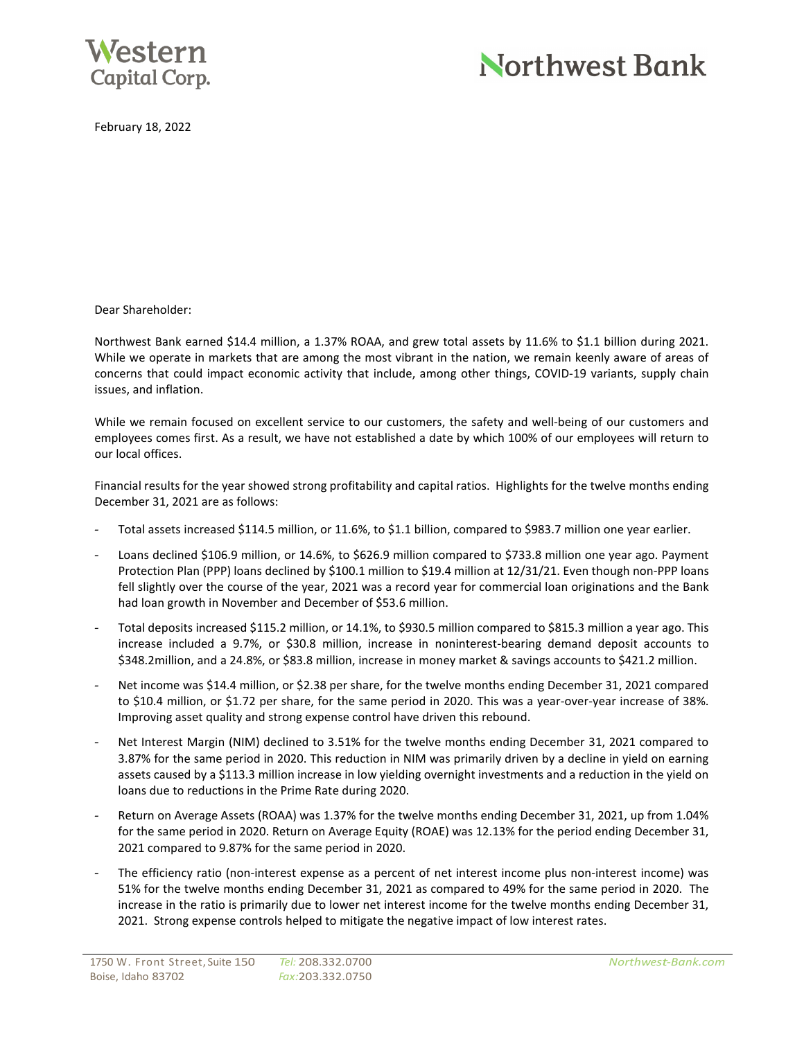

# Northwest Bank

February 18, 2022

Dear Shareholder:

Northwest Bank earned \$14.4 million, a 1.37% ROAA, and grew total assets by 11.6% to \$1.1 billion during 2021. While we operate in markets that are among the most vibrant in the nation, we remain keenly aware of areas of concerns that could impact economic activity that include, among other things, COVID-19 variants, supply chain issues, and inflation.

While we remain focused on excellent service to our customers, the safety and well-being of our customers and employees comes first. As a result, we have not established a date by which 100% of our employees will return to our local offices.

Financial results for the year showed strong profitability and capital ratios. Highlights for the twelve months ending December 31, 2021 are as follows:

- Total assets increased \$114.5 million, or 11.6%, to \$1.1 billion, compared to \$983.7 million one year earlier.
- Loans declined \$106.9 million, or 14.6%, to \$626.9 million compared to \$733.8 million one year ago. Payment Protection Plan (PPP) loans declined by \$100.1 million to \$19.4 million at 12/31/21. Even though non-PPP loans fell slightly over the course of the year, 2021 was a record year for commercial loan originations and the Bank had loan growth in November and December of \$53.6 million.
- Total deposits increased \$115.2 million, or 14.1%, to \$930.5 million compared to \$815.3 million a year ago. This increase included a 9.7%, or \$30.8 million, increase in noninterest-bearing demand deposit accounts to \$348.2million, and a 24.8%, or \$83.8 million, increase in money market & savings accounts to \$421.2 million.
- Net income was \$14.4 million, or \$2.38 per share, for the twelve months ending December 31, 2021 compared to \$10.4 million, or \$1.72 per share, for the same period in 2020. This was a year-over-year increase of 38%. Improving asset quality and strong expense control have driven this rebound.
- Net Interest Margin (NIM) declined to 3.51% for the twelve months ending December 31, 2021 compared to 3.87% for the same period in 2020. This reduction in NIM was primarily driven by a decline in yield on earning assets caused by a \$113.3 million increase in low yielding overnight investments and a reduction in the yield on loans due to reductions in the Prime Rate during 2020.
- Return on Average Assets (ROAA) was 1.37% for the twelve months ending December 31, 2021, up from 1.04% for the same period in 2020. Return on Average Equity (ROAE) was 12.13% for the period ending December 31, 2021 compared to 9.87% for the same period in 2020.
- The efficiency ratio (non-interest expense as a percent of net interest income plus non-interest income) was 51% for the twelve months ending December 31, 2021 as compared to 49% for the same period in 2020. The increase in the ratio is primarily due to lower net interest income for the twelve months ending December 31, 2021. Strong expense controls helped to mitigate the negative impact of low interest rates.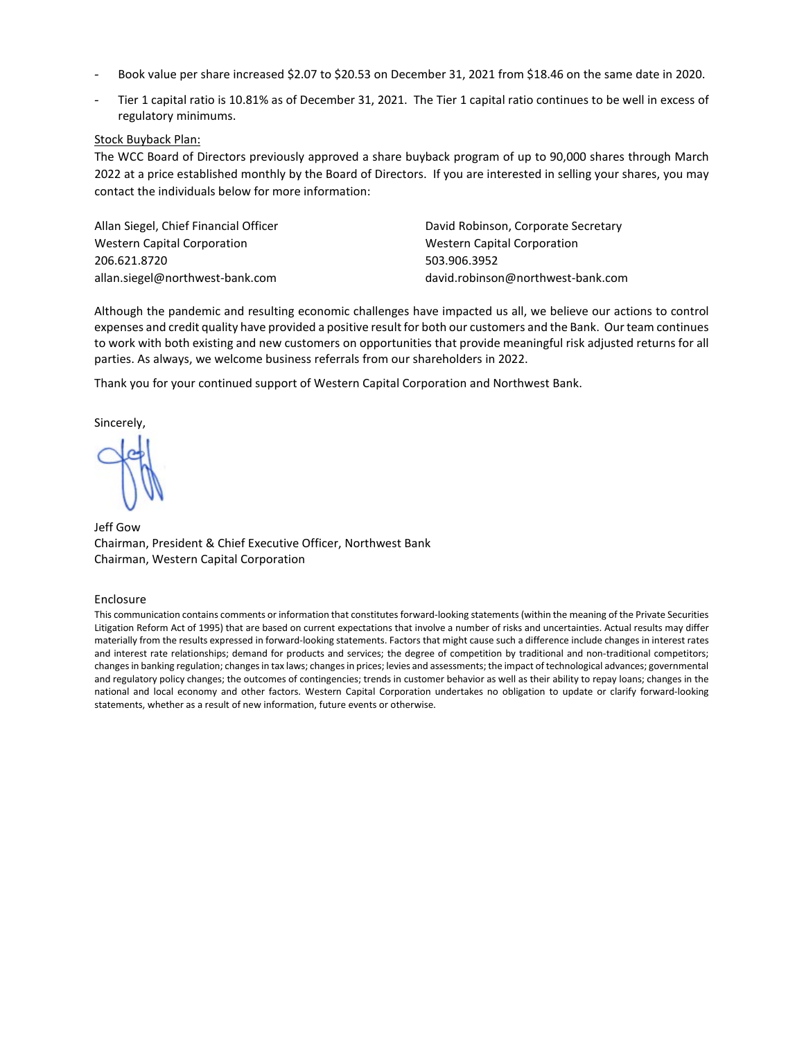- Book value per share increased \$2.07 to \$20.53 on December 31, 2021 from \$18.46 on the same date in 2020.
- Tier 1 capital ratio is 10.81% as of December 31, 2021. The Tier 1 capital ratio continues to be well in excess of regulatory minimums.

## Stock Buyback Plan:

The WCC Board of Directors previously approved a share buyback program of up to 90,000 shares through March 2022 at a price established monthly by the Board of Directors. If you are interested in selling your shares, you may contact the individuals below for more information:

Allan Siegel, Chief Financial Officer David Robinson, Corporate Secretary Western Capital Corporation **Mestern Capital Corporation** Western Capital Corporation 206.621.8720 503.906.3952 allan.siegel@northwest-bank.com david.robinson@northwest-bank.com

Although the pandemic and resulting economic challenges have impacted us all, we believe our actions to control expenses and credit quality have provided a positive result for both our customers and the Bank. Our team continues to work with both existing and new customers on opportunities that provide meaningful risk adjusted returns for all parties. As always, we welcome business referrals from our shareholders in 2022.

Thank you for your continued support of Western Capital Corporation and Northwest Bank.

Sincerely,

Jeff Gow Chairman, President & Chief Executive Officer, Northwest Bank Chairman, Western Capital Corporation

#### Enclosure

This communication contains comments or information that constitutes forward-looking statements (within the meaning of the Private Securities Litigation Reform Act of 1995) that are based on current expectations that involve a number of risks and uncertainties. Actual results may differ materially from the results expressed in forward-looking statements. Factors that might cause such a difference include changes in interest rates and interest rate relationships; demand for products and services; the degree of competition by traditional and non-traditional competitors; changes in banking regulation; changes in tax laws; changes in prices; levies and assessments; the impact of technological advances; governmental and regulatory policy changes; the outcomes of contingencies; trends in customer behavior as well as their ability to repay loans; changes in the national and local economy and other factors. Western Capital Corporation undertakes no obligation to update or clarify forward-looking statements, whether as a result of new information, future events or otherwise.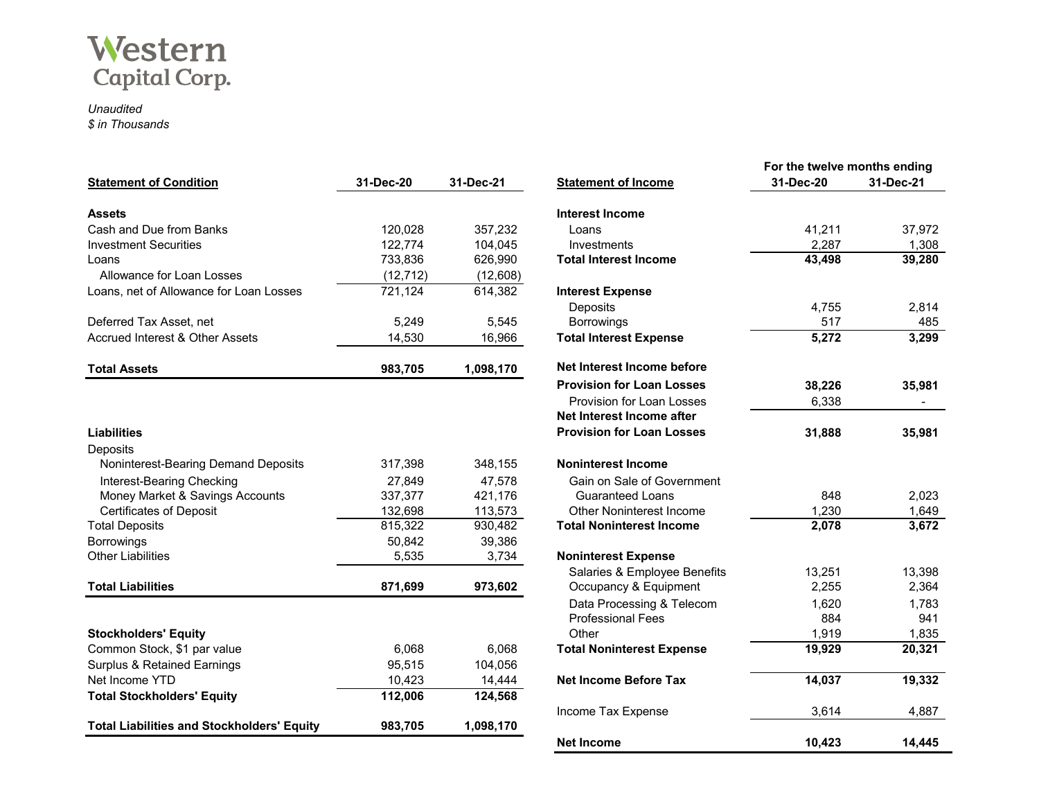

# *Unaudited \$ in Thousands*

| <b>Statement of Condition</b>                     | 31-Dec-20 | 31-Dec-21 | <b>Statement of Income</b>       | 31-Dec-20 | 31-Dec-21 |
|---------------------------------------------------|-----------|-----------|----------------------------------|-----------|-----------|
| <b>Assets</b>                                     |           |           | <b>Interest Income</b>           |           |           |
| Cash and Due from Banks                           | 120,028   | 357,232   | Loans                            | 41,211    | 37,972    |
| <b>Investment Securities</b>                      | 122,774   | 104,045   | Investments                      | 2,287     | 1,308     |
| Loans                                             | 733,836   | 626,990   | <b>Total Interest Income</b>     | 43,498    | 39,280    |
| Allowance for Loan Losses                         | (12, 712) | (12,608)  |                                  |           |           |
| Loans, net of Allowance for Loan Losses           | 721,124   | 614,382   | <b>Interest Expense</b>          |           |           |
|                                                   |           |           | Deposits                         | 4,755     | 2,814     |
| Deferred Tax Asset, net                           | 5,249     | 5,545     | <b>Borrowings</b>                | 517       | 485       |
| Accrued Interest & Other Assets                   | 14,530    | 16,966    | <b>Total Interest Expense</b>    | 5,272     | 3,299     |
| <b>Total Assets</b>                               | 983,705   | 1,098,170 | Net Interest Income before       |           |           |
|                                                   |           |           | <b>Provision for Loan Losses</b> | 38,226    | 35,981    |
|                                                   |           |           | Provision for Loan Losses        | 6,338     |           |
|                                                   |           |           | Net Interest Income after        |           |           |
| <b>Liabilities</b>                                |           |           | <b>Provision for Loan Losses</b> | 31,888    | 35,981    |
| Deposits                                          |           |           |                                  |           |           |
| Noninterest-Bearing Demand Deposits               | 317,398   | 348,155   | <b>Noninterest Income</b>        |           |           |
| Interest-Bearing Checking                         | 27,849    | 47,578    | Gain on Sale of Government       |           |           |
| Money Market & Savings Accounts                   | 337,377   | 421,176   | <b>Guaranteed Loans</b>          | 848       | 2,023     |
| <b>Certificates of Deposit</b>                    | 132,698   | 113,573   | <b>Other Noninterest Income</b>  | 1,230     | 1,649     |
| <b>Total Deposits</b>                             | 815,322   | 930,482   | <b>Total Noninterest Income</b>  | 2,078     | 3,672     |
| <b>Borrowings</b>                                 | 50,842    | 39,386    |                                  |           |           |
| <b>Other Liabilities</b>                          | 5,535     | 3,734     | <b>Noninterest Expense</b>       |           |           |
|                                                   |           |           | Salaries & Employee Benefits     | 13,251    | 13,398    |
| <b>Total Liabilities</b>                          | 871,699   | 973,602   | Occupancy & Equipment            | 2,255     | 2,364     |
|                                                   |           |           | Data Processing & Telecom        | 1,620     | 1,783     |
|                                                   |           |           | <b>Professional Fees</b>         | 884       | 941       |
| <b>Stockholders' Equity</b>                       |           |           | Other                            | 1,919     | 1,835     |
| Common Stock, \$1 par value                       | 6,068     | 6,068     | <b>Total Noninterest Expense</b> | 19,929    | 20,321    |
| <b>Surplus &amp; Retained Earnings</b>            | 95,515    | 104,056   |                                  |           |           |
| Net Income YTD                                    | 10,423    | 14,444    | Net Income Before Tax            | 14,037    | 19,332    |
| <b>Total Stockholders' Equity</b>                 | 112,006   | 124,568   |                                  |           |           |
|                                                   |           |           | Income Tax Expense               | 3,614     | 4,887     |
| <b>Total Liabilities and Stockholders' Equity</b> | 983,705   | 1,098,170 |                                  |           |           |

|                                  | For the twelve months ending |           |  |
|----------------------------------|------------------------------|-----------|--|
| <b>Statement of Income</b>       | 31-Dec-20                    | 31-Dec-21 |  |
|                                  |                              |           |  |
| <b>Interest Income</b>           |                              |           |  |
| Loans                            | 41,211                       | 37,972    |  |
| Investments                      | 2,287                        | 1,308     |  |
| <b>Total Interest Income</b>     | 43,498                       | 39,280    |  |
| <b>Interest Expense</b>          |                              |           |  |
| Deposits                         | 4,755                        | 2,814     |  |
| <b>Borrowings</b>                | 517                          | 485       |  |
| <b>Total Interest Expense</b>    | 5,272                        | 3,299     |  |
| Net Interest Income before       |                              |           |  |
|                                  |                              |           |  |
| <b>Provision for Loan Losses</b> | 38,226                       | 35,981    |  |
| Provision for Loan Losses        | 6,338                        |           |  |
| Net Interest Income after        |                              |           |  |
| <b>Provision for Loan Losses</b> | 31,888                       | 35,981    |  |
| <b>Noninterest Income</b>        |                              |           |  |
| Gain on Sale of Government       |                              |           |  |
| <b>Guaranteed Loans</b>          | 848                          | 2,023     |  |
| Other Noninterest Income         | 1,230                        | 1,649     |  |
| <b>Total Noninterest Income</b>  | 2,078                        | 3,672     |  |
|                                  |                              |           |  |
| <b>Noninterest Expense</b>       |                              |           |  |
| Salaries & Employee Benefits     | 13,251                       | 13,398    |  |
| Occupancy & Equipment            | 2,255                        | 2,364     |  |
| Data Processing & Telecom        | 1,620                        | 1,783     |  |
| <b>Professional Fees</b>         | 884                          | 941       |  |
| Other                            | 1,919                        | 1,835     |  |
| <b>Total Noninterest Expense</b> | 19,929                       | 20,321    |  |
| <b>Net Income Before Tax</b>     | 14,037                       | 19,332    |  |
| Income Tax Expense               | 3,614                        | 4,887     |  |
| Net Income                       | 10,423                       | 14,445    |  |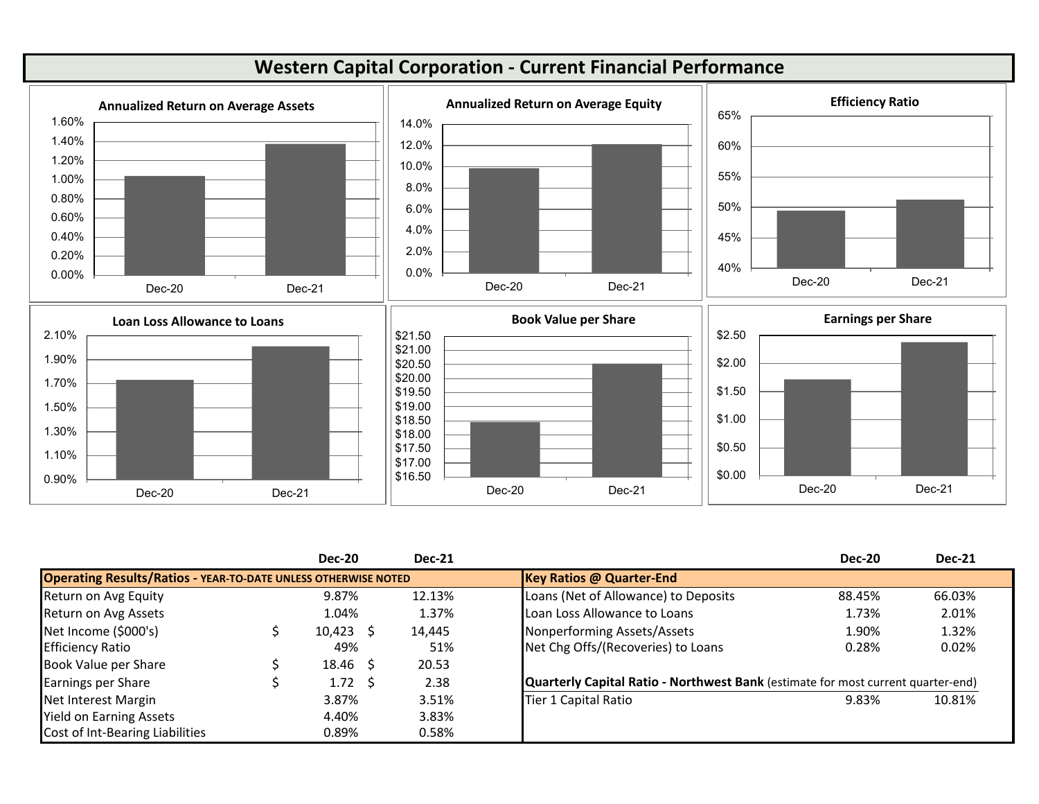

|                                                                       |  | <b>Dec-20</b>   | <b>Dec-21</b>                   |                                                                                  | <b>Dec-20</b> | <b>Dec-21</b> |
|-----------------------------------------------------------------------|--|-----------------|---------------------------------|----------------------------------------------------------------------------------|---------------|---------------|
| <b>Operating Results/Ratios - YEAR-TO-DATE UNLESS OTHERWISE NOTED</b> |  |                 | <b>Key Ratios @ Quarter-End</b> |                                                                                  |               |               |
| Return on Avg Equity                                                  |  | 9.87%           | 12.13%                          | Loans (Net of Allowance) to Deposits                                             | 88.45%        | 66.03%        |
| Return on Avg Assets                                                  |  | 1.04%           | 1.37%                           | Loan Loss Allowance to Loans                                                     | 1.73%         | 2.01%         |
| Net Income (\$000's)                                                  |  | $10,423$ \$     | 14,445                          | Nonperforming Assets/Assets                                                      | 1.90%         | 1.32%         |
| <b>Efficiency Ratio</b>                                               |  | 49%             | 51%                             | Net Chg Offs/(Recoveries) to Loans                                               | 0.28%         | 0.02%         |
| Book Value per Share                                                  |  | $18.46 \quad $$ | 20.53                           |                                                                                  |               |               |
| <b>Earnings per Share</b>                                             |  | 1.72 \$         | 2.38                            | Quarterly Capital Ratio - Northwest Bank (estimate for most current quarter-end) |               |               |
| Net Interest Margin                                                   |  | 3.87%           | 3.51%                           | Tier 1 Capital Ratio                                                             | 9.83%         | 10.81%        |
| <b>Yield on Earning Assets</b>                                        |  | 4.40%           | 3.83%                           |                                                                                  |               |               |
| Cost of Int-Bearing Liabilities                                       |  | 0.89%           | 0.58%                           |                                                                                  |               |               |